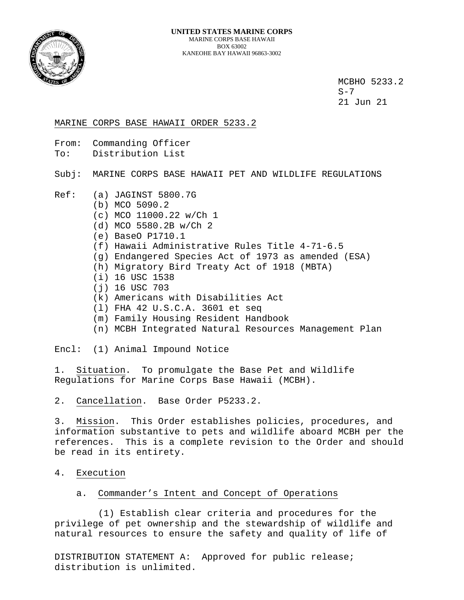

MCBHO 5233.2<br>S-7  $S-7$ 21 Jun 21

MARINE CORPS BASE HAWAII ORDER 5233.2

- From: Commanding Officer
- To: Distribution List

Subj: MARINE CORPS BASE HAWAII PET AND WILDLIFE REGULATIONS

- Ref: (a) JAGINST 5800.7G
	- (b) MCO 5090.2
	- (c) MCO 11000.22 w/Ch 1
	- (d) MCO 5580.2B w/Ch 2
	- (e) BaseO P1710.1
	- (f) Hawaii Administrative Rules Title 4-71-6.5
	- (g) Endangered Species Act of 1973 as amended (ESA)
	- (h) Migratory Bird Treaty Act of 1918 (MBTA)
	- (i) 16 USC 1538
	- (j) 16 USC 703
	- (k) Americans with Disabilities Act
	- (l) FHA 42 U.S.C.A. 3601 et seq
	- (m) Family Housing Resident Handbook
	- (n) MCBH Integrated Natural Resources Management Plan

Encl: (1) Animal Impound Notice

1. Situation. To promulgate the Base Pet and Wildlife Regulations for Marine Corps Base Hawaii (MCBH).

2. Cancellation. Base Order P5233.2.

3. Mission. This Order establishes policies, procedures, and information substantive to pets and wildlife aboard MCBH per the references. This is a complete revision to the Order and should be read in its entirety.

- 4. Execution
	- a. Commander's Intent and Concept of Operations

 (1) Establish clear criteria and procedures for the privilege of pet ownership and the stewardship of wildlife and natural resources to ensure the safety and quality of life of

DISTRIBUTION STATEMENT A: Approved for public release; distribution is unlimited.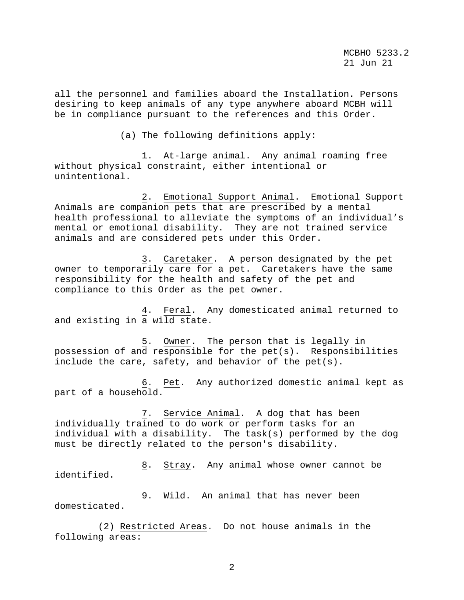all the personnel and families aboard the Installation. Persons desiring to keep animals of any type anywhere aboard MCBH will be in compliance pursuant to the references and this Order.

(a) The following definitions apply:

 1. At-large animal. Any animal roaming free without physical constraint, either intentional or unintentional.

 2. Emotional Support Animal. Emotional Support Animals are companion pets that are prescribed by a mental health professional to alleviate the symptoms of an individual's mental or emotional disability. They are not trained service animals and are considered pets under this Order.

 3. Caretaker. A person designated by the pet owner to temporarily care for a pet. Caretakers have the same responsibility for the health and safety of the pet and compliance to this Order as the pet owner.

 4. Feral. Any domesticated animal returned to and existing in a wild state.

 5. Owner. The person that is legally in possession of and responsible for the pet(s). Responsibilities include the care, safety, and behavior of the pet(s).

 6. Pet. Any authorized domestic animal kept as part of a household.

 7. Service Animal. A dog that has been individually trained to do work or perform tasks for an individual with a disability. The task(s) performed by the dog must be directly related to the person's disability.

 8. Stray. Any animal whose owner cannot be identified.

 9. Wild. An animal that has never been domesticated.

 (2) Restricted Areas. Do not house animals in the following areas: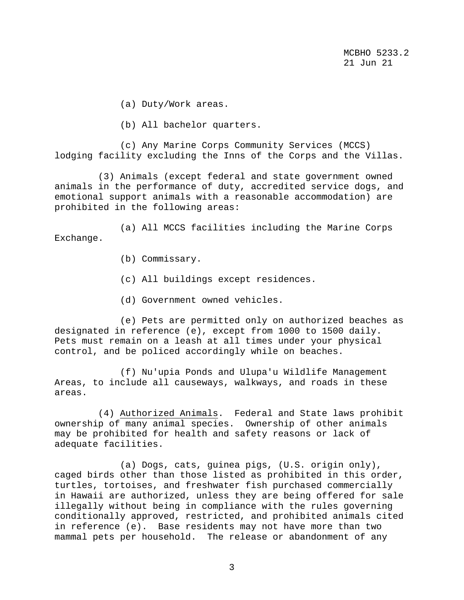MCBHO 5233.2<br>21 Jun 21 21 Jun 21

(a) Duty/Work areas.

(b) All bachelor quarters.

 (c) Any Marine Corps Community Services (MCCS) lodging facility excluding the Inns of the Corps and the Villas.

 (3) Animals (except federal and state government owned animals in the performance of duty, accredited service dogs, and emotional support animals with a reasonable accommodation) are prohibited in the following areas:

 (a) All MCCS facilities including the Marine Corps Exchange.

- (b) Commissary.
- (c) All buildings except residences.
- (d) Government owned vehicles.

 (e) Pets are permitted only on authorized beaches as designated in reference (e), except from 1000 to 1500 daily. Pets must remain on a leash at all times under your physical control, and be policed accordingly while on beaches.

 (f) Nu'upia Ponds and Ulupa'u Wildlife Management Areas, to include all causeways, walkways, and roads in these areas.

 (4) Authorized Animals. Federal and State laws prohibit ownership of many animal species. Ownership of other animals may be prohibited for health and safety reasons or lack of adequate facilities.

 (a) Dogs, cats, guinea pigs, (U.S. origin only), caged birds other than those listed as prohibited in this order, turtles, tortoises, and freshwater fish purchased commercially in Hawaii are authorized, unless they are being offered for sale illegally without being in compliance with the rules governing conditionally approved, restricted, and prohibited animals cited in reference (e). Base residents may not have more than two mammal pets per household. The release or abandonment of any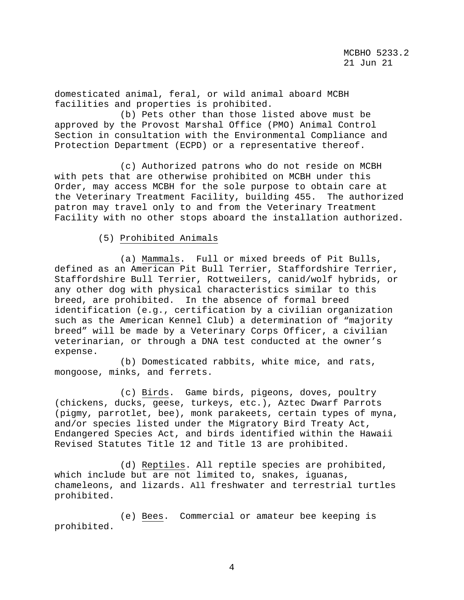domesticated animal, feral, or wild animal aboard MCBH facilities and properties is prohibited.

 (b) Pets other than those listed above must be approved by the Provost Marshal Office (PMO) Animal Control Section in consultation with the Environmental Compliance and Protection Department (ECPD) or a representative thereof.

 (c) Authorized patrons who do not reside on MCBH with pets that are otherwise prohibited on MCBH under this Order, may access MCBH for the sole purpose to obtain care at the Veterinary Treatment Facility, building 455. The authorized patron may travel only to and from the Veterinary Treatment Facility with no other stops aboard the installation authorized.

# (5) Prohibited Animals

 (a) Mammals. Full or mixed breeds of Pit Bulls, defined as an American Pit Bull Terrier, Staffordshire Terrier, Staffordshire Bull Terrier, Rottweilers, canid/wolf hybrids, or any other dog with physical characteristics similar to this breed, are prohibited. In the absence of formal breed identification (e.g., certification by a civilian organization such as the American Kennel Club) a determination of "majority breed" will be made by a Veterinary Corps Officer, a civilian veterinarian, or through a DNA test conducted at the owner's expense.

 (b) Domesticated rabbits, white mice, and rats, mongoose, minks, and ferrets.

 (c) Birds. Game birds, pigeons, doves, poultry (chickens, ducks, geese, turkeys, etc.), Aztec Dwarf Parrots (pigmy, parrotlet, bee), monk parakeets, certain types of myna, and/or species listed under the Migratory Bird Treaty Act, Endangered Species Act, and birds identified within the Hawaii Revised Statutes Title 12 and Title 13 are prohibited.

 (d) Reptiles. All reptile species are prohibited, which include but are not limited to, snakes, iguanas, chameleons, and lizards. All freshwater and terrestrial turtles prohibited.

 (e) Bees. Commercial or amateur bee keeping is prohibited.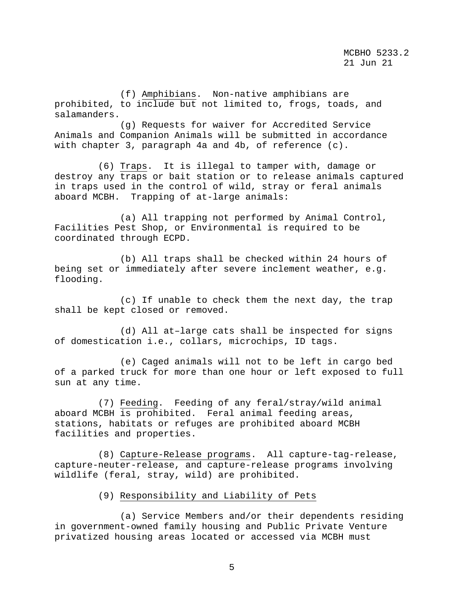(f) Amphibians. Non-native amphibians are prohibited, to include but not limited to, frogs, toads, and salamanders.

 (g) Requests for waiver for Accredited Service Animals and Companion Animals will be submitted in accordance with chapter 3, paragraph 4a and 4b, of reference (c).

 (6) Traps. It is illegal to tamper with, damage or destroy any traps or bait station or to release animals captured in traps used in the control of wild, stray or feral animals aboard MCBH. Trapping of at-large animals:

 (a) All trapping not performed by Animal Control, Facilities Pest Shop, or Environmental is required to be coordinated through ECPD.

 (b) All traps shall be checked within 24 hours of being set or immediately after severe inclement weather, e.g. flooding.

 (c) If unable to check them the next day, the trap shall be kept closed or removed.

 (d) All at–large cats shall be inspected for signs of domestication i.e., collars, microchips, ID tags.

 (e) Caged animals will not to be left in cargo bed of a parked truck for more than one hour or left exposed to full sun at any time.

 (7) Feeding. Feeding of any feral/stray/wild animal aboard MCBH is prohibited. Feral animal feeding areas, stations, habitats or refuges are prohibited aboard MCBH facilities and properties.

 (8) Capture-Release programs. All capture-tag-release, capture-neuter-release, and capture-release programs involving wildlife (feral, stray, wild) are prohibited.

(9) Responsibility and Liability of Pets

 (a) Service Members and/or their dependents residing in government-owned family housing and Public Private Venture privatized housing areas located or accessed via MCBH must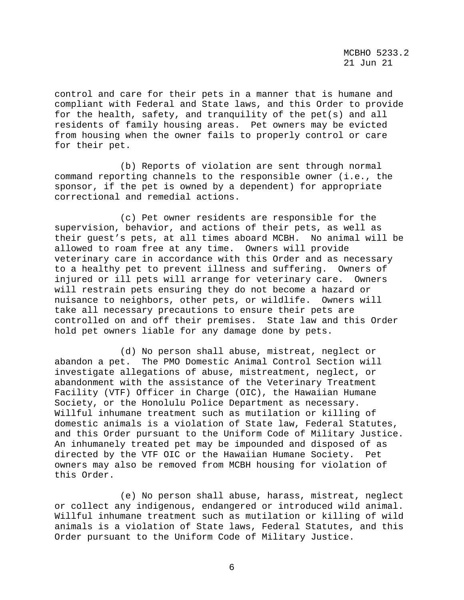control and care for their pets in a manner that is humane and compliant with Federal and State laws, and this Order to provide for the health, safety, and tranquility of the pet(s) and all residents of family housing areas. Pet owners may be evicted from housing when the owner fails to properly control or care for their pet.

 (b) Reports of violation are sent through normal command reporting channels to the responsible owner (i.e., the sponsor, if the pet is owned by a dependent) for appropriate correctional and remedial actions.

 (c) Pet owner residents are responsible for the supervision, behavior, and actions of their pets, as well as their guest's pets, at all times aboard MCBH. No animal will be allowed to roam free at any time. Owners will provide veterinary care in accordance with this Order and as necessary to a healthy pet to prevent illness and suffering. Owners of injured or ill pets will arrange for veterinary care. Owners will restrain pets ensuring they do not become a hazard or nuisance to neighbors, other pets, or wildlife. Owners will take all necessary precautions to ensure their pets are controlled on and off their premises. State law and this Order hold pet owners liable for any damage done by pets.

 (d) No person shall abuse, mistreat, neglect or abandon a pet. The PMO Domestic Animal Control Section will investigate allegations of abuse, mistreatment, neglect, or abandonment with the assistance of the Veterinary Treatment Facility (VTF) Officer in Charge (OIC), the Hawaiian Humane Society, or the Honolulu Police Department as necessary. Willful inhumane treatment such as mutilation or killing of domestic animals is a violation of State law, Federal Statutes, and this Order pursuant to the Uniform Code of Military Justice. An inhumanely treated pet may be impounded and disposed of as directed by the VTF OIC or the Hawaiian Humane Society. Pet owners may also be removed from MCBH housing for violation of this Order.

 (e) No person shall abuse, harass, mistreat, neglect or collect any indigenous, endangered or introduced wild animal. Willful inhumane treatment such as mutilation or killing of wild animals is a violation of State laws, Federal Statutes, and this Order pursuant to the Uniform Code of Military Justice.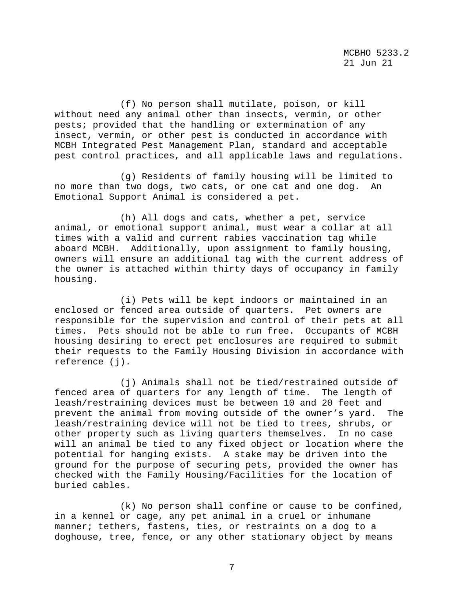(f) No person shall mutilate, poison, or kill without need any animal other than insects, vermin, or other pests; provided that the handling or extermination of any insect, vermin, or other pest is conducted in accordance with MCBH Integrated Pest Management Plan, standard and acceptable pest control practices, and all applicable laws and regulations.

 (g) Residents of family housing will be limited to no more than two dogs, two cats, or one cat and one dog. An Emotional Support Animal is considered a pet.

 (h) All dogs and cats, whether a pet, service animal, or emotional support animal, must wear a collar at all times with a valid and current rabies vaccination tag while<br>aboard MCBH. Additionally, upon assignment to family housin Additionally, upon assignment to family housing, owners will ensure an additional tag with the current address of the owner is attached within thirty days of occupancy in family housing.

 (i) Pets will be kept indoors or maintained in an enclosed or fenced area outside of quarters. Pet owners are responsible for the supervision and control of their pets at all times. Pets should not be able to run free. Occupants of MCBH housing desiring to erect pet enclosures are required to submit their requests to the Family Housing Division in accordance with reference (j).

 (j) Animals shall not be tied/restrained outside of fenced area of quarters for any length of time. The length of leash/restraining devices must be between 10 and 20 feet and prevent the animal from moving outside of the owner's yard. The leash/restraining device will not be tied to trees, shrubs, or other property such as living quarters themselves. In no case will an animal be tied to any fixed object or location where the potential for hanging exists. A stake may be driven into the ground for the purpose of securing pets, provided the owner has checked with the Family Housing/Facilities for the location of buried cables.

 (k) No person shall confine or cause to be confined, in a kennel or cage, any pet animal in a cruel or inhumane manner; tethers, fastens, ties, or restraints on a dog to a doghouse, tree, fence, or any other stationary object by means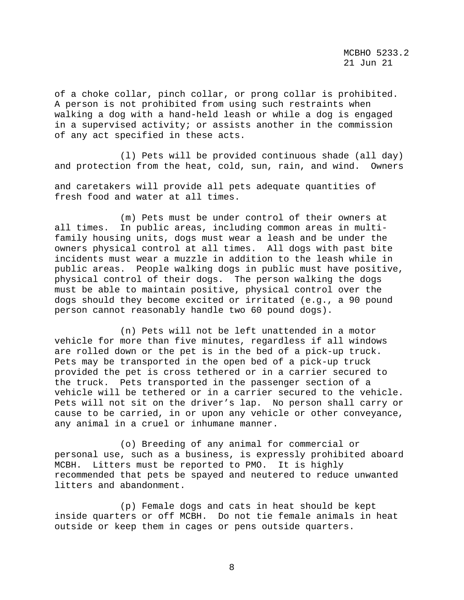of a choke collar, pinch collar, or prong collar is prohibited. A person is not prohibited from using such restraints when walking a dog with a hand-held leash or while a dog is engaged in a supervised activity; or assists another in the commission of any act specified in these acts.

 (l) Pets will be provided continuous shade (all day) and protection from the heat, cold, sun, rain, and wind. Owners

and caretakers will provide all pets adequate quantities of fresh food and water at all times.

 (m) Pets must be under control of their owners at all times. In public areas, including common areas in multifamily housing units, dogs must wear a leash and be under the owners physical control at all times. All dogs with past bite incidents must wear a muzzle in addition to the leash while in public areas. People walking dogs in public must have positive, physical control of their dogs. The person walking the dogs must be able to maintain positive, physical control over the dogs should they become excited or irritated (e.g., a 90 pound person cannot reasonably handle two 60 pound dogs).

 (n) Pets will not be left unattended in a motor vehicle for more than five minutes, regardless if all windows are rolled down or the pet is in the bed of a pick-up truck. Pets may be transported in the open bed of a pick-up truck provided the pet is cross tethered or in a carrier secured to the truck. Pets transported in the passenger section of a vehicle will be tethered or in a carrier secured to the vehicle. Pets will not sit on the driver's lap. No person shall carry or cause to be carried, in or upon any vehicle or other conveyance, any animal in a cruel or inhumane manner.

 (o) Breeding of any animal for commercial or personal use, such as a business, is expressly prohibited aboard MCBH. Litters must be reported to PMO. It is highly recommended that pets be spayed and neutered to reduce unwanted litters and abandonment.

 (p) Female dogs and cats in heat should be kept inside quarters or off MCBH. Do not tie female animals in heat outside or keep them in cages or pens outside quarters.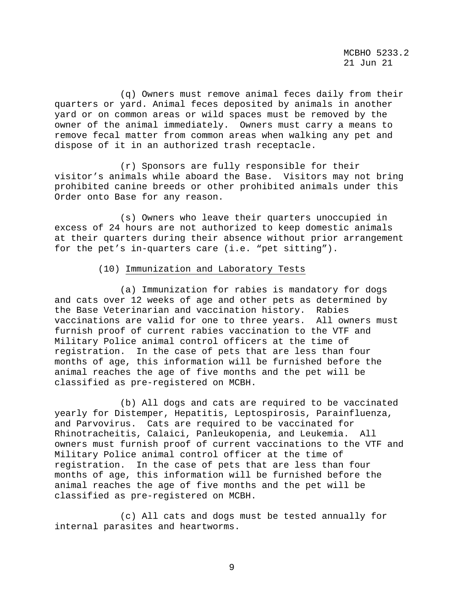MCBHO 5233.2<br>21 Jun 21 21 Jun 21

 (q) Owners must remove animal feces daily from their quarters or yard. Animal feces deposited by animals in another yard or on common areas or wild spaces must be removed by the owner of the animal immediately. Owners must carry a means to remove fecal matter from common areas when walking any pet and dispose of it in an authorized trash receptacle.

 (r) Sponsors are fully responsible for their visitor's animals while aboard the Base. Visitors may not bring prohibited canine breeds or other prohibited animals under this Order onto Base for any reason.

 (s) Owners who leave their quarters unoccupied in excess of 24 hours are not authorized to keep domestic animals at their quarters during their absence without prior arrangement for the pet's in-quarters care (i.e. "pet sitting").

# (10) Immunization and Laboratory Tests

 (a) Immunization for rabies is mandatory for dogs and cats over 12 weeks of age and other pets as determined by the Base Veterinarian and vaccination history. Rabies vaccinations are valid for one to three years. All owners must furnish proof of current rabies vaccination to the VTF and Military Police animal control officers at the time of registration. In the case of pets that are less than four months of age, this information will be furnished before the animal reaches the age of five months and the pet will be classified as pre-registered on MCBH.

 (b) All dogs and cats are required to be vaccinated yearly for Distemper, Hepatitis, Leptospirosis, Parainfluenza, and Parvovirus. Cats are required to be vaccinated for Rhinotracheitis, Calaici, Panleukopenia, and Leukemia. All owners must furnish proof of current vaccinations to the VTF and Military Police animal control officer at the time of registration. In the case of pets that are less than four months of age, this information will be furnished before the animal reaches the age of five months and the pet will be classified as pre-registered on MCBH.

 (c) All cats and dogs must be tested annually for internal parasites and heartworms.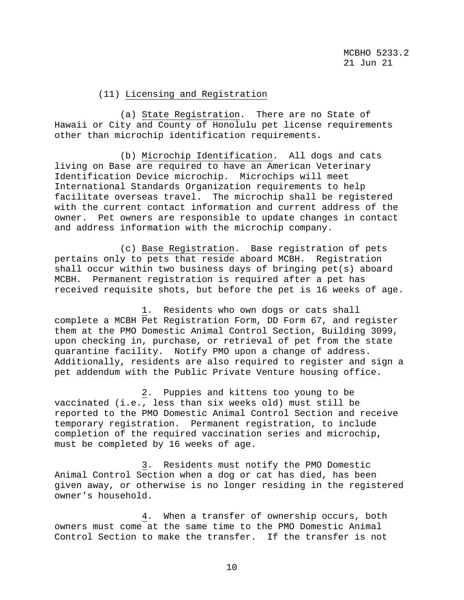## (11) Licensing and Registration

 (a) State Registration. There are no State of Hawaii or City and County of Honolulu pet license requirements other than microchip identification requirements.

 (b) Microchip Identification. All dogs and cats living on Base are required to have an American Veterinary Identification Device microchip. Microchips will meet International Standards Organization requirements to help facilitate overseas travel. The microchip shall be registered with the current contact information and current address of the owner. Pet owners are responsible to update changes in contact and address information with the microchip company.

 (c) Base Registration. Base registration of pets pertains only to pets that reside aboard MCBH. Registration shall occur within two business days of bringing pet(s) aboard MCBH. Permanent registration is required after a pet has received requisite shots, but before the pet is 16 weeks of age.

 1. Residents who own dogs or cats shall complete a MCBH Pet Registration Form, DD Form 67, and register them at the PMO Domestic Animal Control Section, Building 3099, upon checking in, purchase, or retrieval of pet from the state quarantine facility. Notify PMO upon a change of address. Additionally, residents are also required to register and sign a pet addendum with the Public Private Venture housing office.

 2. Puppies and kittens too young to be vaccinated (i.e., less than six weeks old) must still be reported to the PMO Domestic Animal Control Section and receive temporary registration. Permanent registration, to include completion of the required vaccination series and microchip, must be completed by 16 weeks of age.

 3. Residents must notify the PMO Domestic Animal Control Section when a dog or cat has died, has been given away, or otherwise is no longer residing in the registered owner's household.

 4. When a transfer of ownership occurs, both owners must come at the same time to the PMO Domestic Animal Control Section to make the transfer. If the transfer is not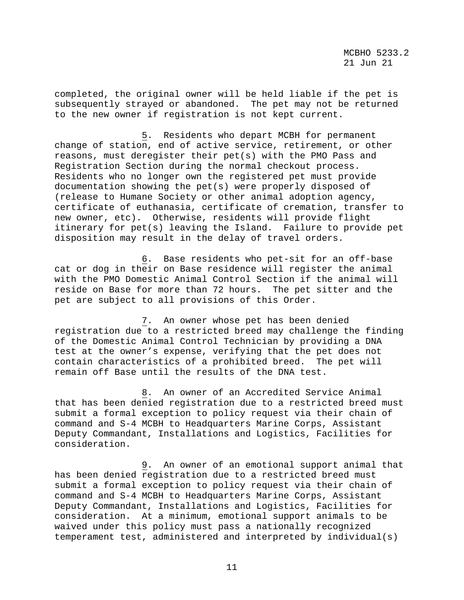completed, the original owner will be held liable if the pet is subsequently strayed or abandoned. The pet may not be returned to the new owner if registration is not kept current.

 5. Residents who depart MCBH for permanent change of station, end of active service, retirement, or other reasons, must deregister their pet(s) with the PMO Pass and Registration Section during the normal checkout process. Residents who no longer own the registered pet must provide documentation showing the pet(s) were properly disposed of (release to Humane Society or other animal adoption agency, certificate of euthanasia, certificate of cremation, transfer to new owner, etc). Otherwise, residents will provide flight itinerary for pet(s) leaving the Island. Failure to provide pet disposition may result in the delay of travel orders.

 6. Base residents who pet-sit for an off-base cat or dog in their on Base residence will register the animal with the PMO Domestic Animal Control Section if the animal will reside on Base for more than 72 hours. The pet sitter and the pet are subject to all provisions of this Order.

 7. An owner whose pet has been denied registration due to a restricted breed may challenge the finding of the Domestic Animal Control Technician by providing a DNA test at the owner's expense, verifying that the pet does not contain characteristics of a prohibited breed. The pet will remain off Base until the results of the DNA test.

 8. An owner of an Accredited Service Animal that has been denied registration due to a restricted breed must submit a formal exception to policy request via their chain of command and S-4 MCBH to Headquarters Marine Corps, Assistant Deputy Commandant, Installations and Logistics, Facilities for consideration.

 9. An owner of an emotional support animal that has been denied registration due to a restricted breed must submit a formal exception to policy request via their chain of command and S-4 MCBH to Headquarters Marine Corps, Assistant Deputy Commandant, Installations and Logistics, Facilities for consideration. At a minimum, emotional support animals to be waived under this policy must pass a nationally recognized temperament test, administered and interpreted by individual(s)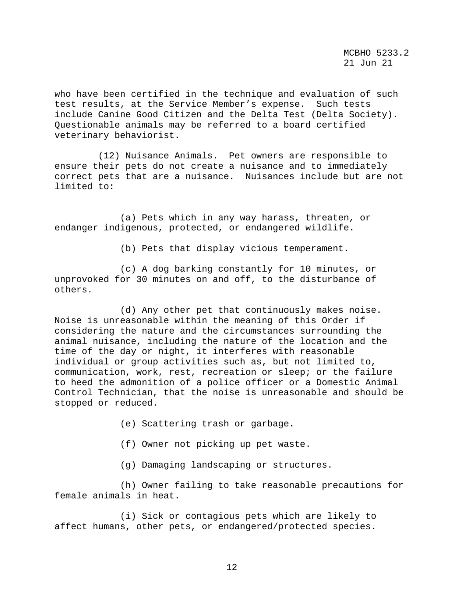who have been certified in the technique and evaluation of such test results, at the Service Member's expense. Such tests include Canine Good Citizen and the Delta Test (Delta Society). Questionable animals may be referred to a board certified veterinary behaviorist.

 (12) Nuisance Animals. Pet owners are responsible to ensure their pets do not create a nuisance and to immediately correct pets that are a nuisance. Nuisances include but are not limited to:

 (a) Pets which in any way harass, threaten, or endanger indigenous, protected, or endangered wildlife.

(b) Pets that display vicious temperament.

 (c) A dog barking constantly for 10 minutes, or unprovoked for 30 minutes on and off, to the disturbance of others.

 (d) Any other pet that continuously makes noise. Noise is unreasonable within the meaning of this Order if considering the nature and the circumstances surrounding the animal nuisance, including the nature of the location and the time of the day or night, it interferes with reasonable individual or group activities such as, but not limited to, communication, work, rest, recreation or sleep; or the failure to heed the admonition of a police officer or a Domestic Animal Control Technician, that the noise is unreasonable and should be stopped or reduced.

(e) Scattering trash or garbage.

(f) Owner not picking up pet waste.

(g) Damaging landscaping or structures.

 (h) Owner failing to take reasonable precautions for female animals in heat.

 (i) Sick or contagious pets which are likely to affect humans, other pets, or endangered/protected species.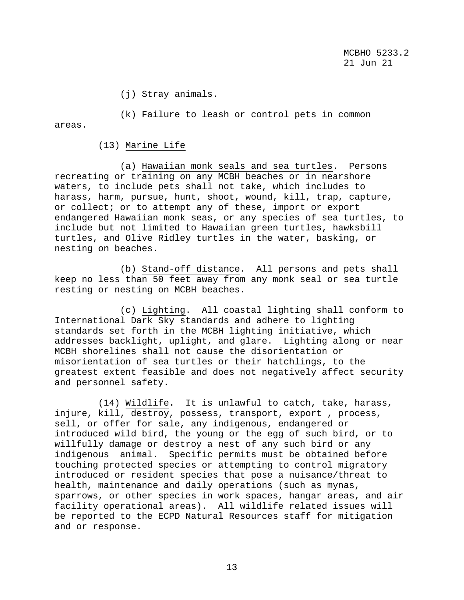MCBHO 5233.2<br>21 Jun 21 21 Jun 21

(j) Stray animals.

 (k) Failure to leash or control pets in common areas.

### (13) Marine Life

 (a) Hawaiian monk seals and sea turtles. Persons recreating or training on any MCBH beaches or in nearshore waters, to include pets shall not take, which includes to harass, harm, pursue, hunt, shoot, wound, kill, trap, capture, or collect; or to attempt any of these, import or export endangered Hawaiian monk seas, or any species of sea turtles, to include but not limited to Hawaiian green turtles, hawksbill turtles, and Olive Ridley turtles in the water, basking, or nesting on beaches.

 (b) Stand-off distance. All persons and pets shall keep no less than 50 feet away from any monk seal or sea turtle resting or nesting on MCBH beaches.

 (c) Lighting. All coastal lighting shall conform to International Dark Sky standards and adhere to lighting standards set forth in the MCBH lighting initiative, which addresses backlight, uplight, and glare. Lighting along or near MCBH shorelines shall not cause the disorientation or misorientation of sea turtles or their hatchlings, to the greatest extent feasible and does not negatively affect security and personnel safety.

 (14) Wildlife. It is unlawful to catch, take, harass, injure, kill, destroy, possess, transport, export , process, sell, or offer for sale, any indigenous, endangered or introduced wild bird, the young or the egg of such bird, or to willfully damage or destroy a nest of any such bird or any indigenous animal. Specific permits must be obtained before touching protected species or attempting to control migratory introduced or resident species that pose a nuisance/threat to health, maintenance and daily operations (such as mynas, sparrows, or other species in work spaces, hangar areas, and air facility operational areas). All wildlife related issues will be reported to the ECPD Natural Resources staff for mitigation and or response.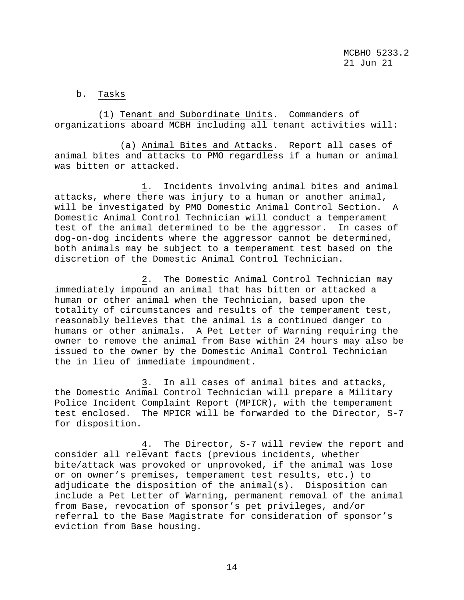# b. Tasks

 (1) Tenant and Subordinate Units. Commanders of organizations aboard MCBH including all tenant activities will:

 (a) Animal Bites and Attacks. Report all cases of animal bites and attacks to PMO regardless if a human or animal was bitten or attacked.

 1. Incidents involving animal bites and animal attacks, where there was injury to a human or another animal, will be investigated by PMO Domestic Animal Control Section. A Domestic Animal Control Technician will conduct a temperament test of the animal determined to be the aggressor. In cases of dog-on-dog incidents where the aggressor cannot be determined, both animals may be subject to a temperament test based on the discretion of the Domestic Animal Control Technician.

 2. The Domestic Animal Control Technician may immediately impound an animal that has bitten or attacked a human or other animal when the Technician, based upon the totality of circumstances and results of the temperament test, reasonably believes that the animal is a continued danger to humans or other animals. A Pet Letter of Warning requiring the owner to remove the animal from Base within 24 hours may also be issued to the owner by the Domestic Animal Control Technician the in lieu of immediate impoundment.

 3. In all cases of animal bites and attacks, the Domestic Animal Control Technician will prepare a Military Police Incident Complaint Report (MPICR), with the temperament test enclosed. The MPICR will be forwarded to the Director, S-7 for disposition.

 4. The Director, S-7 will review the report and consider all relevant facts (previous incidents, whether bite/attack was provoked or unprovoked, if the animal was lose or on owner's premises, temperament test results, etc.) to adjudicate the disposition of the animal(s). Disposition can include a Pet Letter of Warning, permanent removal of the animal from Base, revocation of sponsor's pet privileges, and/or referral to the Base Magistrate for consideration of sponsor's eviction from Base housing.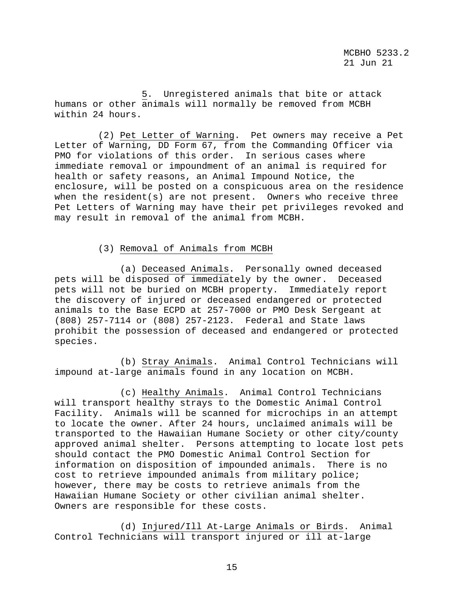5. Unregistered animals that bite or attack humans or other animals will normally be removed from MCBH within 24 hours.

 (2) Pet Letter of Warning. Pet owners may receive a Pet Letter of Warning, DD Form 67, from the Commanding Officer via PMO for violations of this order. In serious cases where immediate removal or impoundment of an animal is required for health or safety reasons, an Animal Impound Notice, the enclosure, will be posted on a conspicuous area on the residence when the resident(s) are not present. Owners who receive three Pet Letters of Warning may have their pet privileges revoked and may result in removal of the animal from MCBH.

# (3) Removal of Animals from MCBH

 (a) Deceased Animals. Personally owned deceased pets will be disposed of immediately by the owner. Deceased pets will not be buried on MCBH property. Immediately report the discovery of injured or deceased endangered or protected animals to the Base ECPD at 257-7000 or PMO Desk Sergeant at (808) 257-7114 or (808) 257-2123. Federal and State laws prohibit the possession of deceased and endangered or protected species.

 (b) Stray Animals. Animal Control Technicians will impound at-large animals found in any location on MCBH.

 (c) Healthy Animals. Animal Control Technicians will transport healthy strays to the Domestic Animal Control Facility. Animals will be scanned for microchips in an attempt to locate the owner. After 24 hours, unclaimed animals will be transported to the Hawaiian Humane Society or other city/county approved animal shelter. Persons attempting to locate lost pets should contact the PMO Domestic Animal Control Section for information on disposition of impounded animals. There is no cost to retrieve impounded animals from military police; however, there may be costs to retrieve animals from the Hawaiian Humane Society or other civilian animal shelter. Owners are responsible for these costs.

 (d) Injured/Ill At-Large Animals or Birds. Animal Control Technicians will transport injured or ill at-large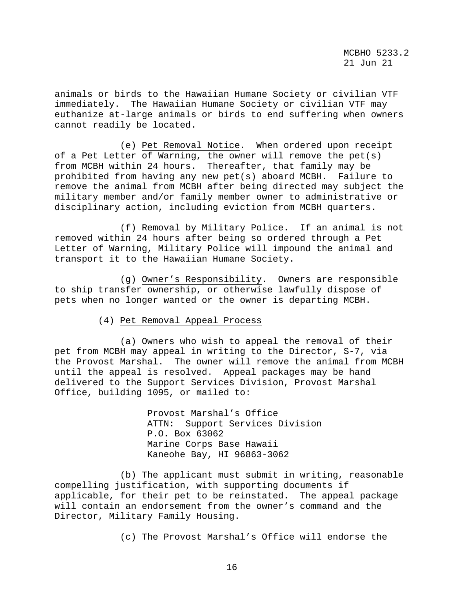animals or birds to the Hawaiian Humane Society or civilian VTF immediately. The Hawaiian Humane Society or civilian VTF may euthanize at-large animals or birds to end suffering when owners cannot readily be located.

 (e) Pet Removal Notice. When ordered upon receipt of a Pet Letter of Warning, the owner will remove the pet(s) from MCBH within 24 hours. Thereafter, that family may be prohibited from having any new pet(s) aboard MCBH. Failure to remove the animal from MCBH after being directed may subject the military member and/or family member owner to administrative or disciplinary action, including eviction from MCBH quarters.

 (f) Removal by Military Police. If an animal is not removed within 24 hours after being so ordered through a Pet Letter of Warning, Military Police will impound the animal and transport it to the Hawaiian Humane Society.

 (g) Owner's Responsibility. Owners are responsible to ship transfer ownership, or otherwise lawfully dispose of pets when no longer wanted or the owner is departing MCBH.

(4) Pet Removal Appeal Process

 (a) Owners who wish to appeal the removal of their pet from MCBH may appeal in writing to the Director, S-7, via the Provost Marshal. The owner will remove the animal from MCBH until the appeal is resolved. Appeal packages may be hand delivered to the Support Services Division, Provost Marshal Office, building 1095, or mailed to:

> Provost Marshal's Office ATTN: Support Services Division P.O. Box 63062 Marine Corps Base Hawaii Kaneohe Bay, HI 96863-3062

 (b) The applicant must submit in writing, reasonable compelling justification, with supporting documents if applicable, for their pet to be reinstated. The appeal package will contain an endorsement from the owner's command and the Director, Military Family Housing.

(c) The Provost Marshal's Office will endorse the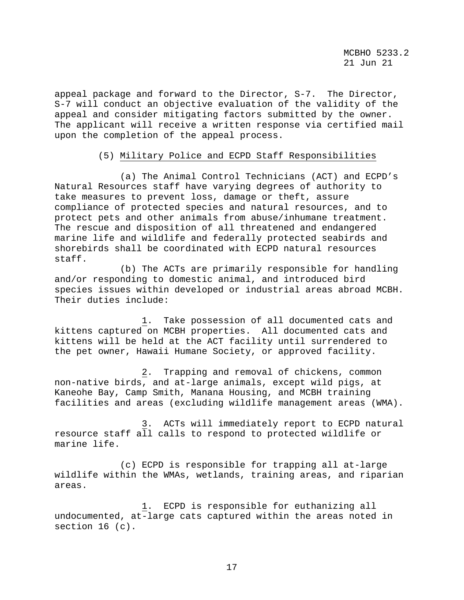appeal package and forward to the Director, S-7. The Director, S-7 will conduct an objective evaluation of the validity of the appeal and consider mitigating factors submitted by the owner. The applicant will receive a written response via certified mail upon the completion of the appeal process.

## (5) Military Police and ECPD Staff Responsibilities

 (a) The Animal Control Technicians (ACT) and ECPD's Natural Resources staff have varying degrees of authority to take measures to prevent loss, damage or theft, assure compliance of protected species and natural resources, and to protect pets and other animals from abuse/inhumane treatment. The rescue and disposition of all threatened and endangered marine life and wildlife and federally protected seabirds and shorebirds shall be coordinated with ECPD natural resources staff.

 (b) The ACTs are primarily responsible for handling and/or responding to domestic animal, and introduced bird species issues within developed or industrial areas abroad MCBH. Their duties include:

 1. Take possession of all documented cats and kittens captured on MCBH properties. All documented cats and kittens will be held at the ACT facility until surrendered to the pet owner, Hawaii Humane Society, or approved facility.

 2. Trapping and removal of chickens, common non-native birds, and at-large animals, except wild pigs, at Kaneohe Bay, Camp Smith, Manana Housing, and MCBH training facilities and areas (excluding wildlife management areas (WMA).

 3. ACTs will immediately report to ECPD natural resource staff all calls to respond to protected wildlife or marine life.

 (c) ECPD is responsible for trapping all at-large wildlife within the WMAs, wetlands, training areas, and riparian areas.

 1. ECPD is responsible for euthanizing all undocumented, at-large cats captured within the areas noted in section 16 (c).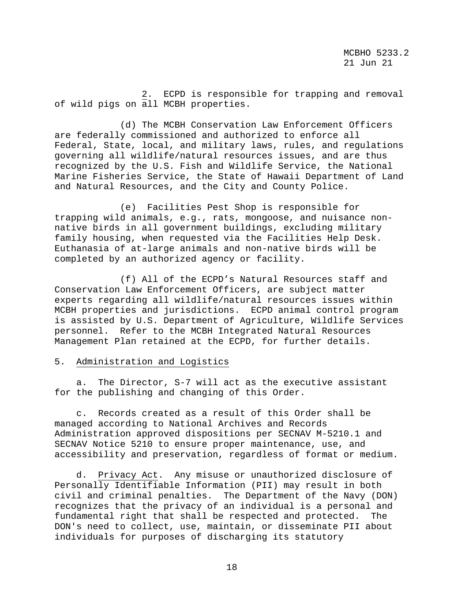2. ECPD is responsible for trapping and removal of wild pigs on all MCBH properties.

 (d) The MCBH Conservation Law Enforcement Officers are federally commissioned and authorized to enforce all Federal, State, local, and military laws, rules, and regulations governing all wildlife/natural resources issues, and are thus recognized by the U.S. Fish and Wildlife Service, the National Marine Fisheries Service, the State of Hawaii Department of Land and Natural Resources, and the City and County Police.

 (e) Facilities Pest Shop is responsible for trapping wild animals, e.g., rats, mongoose, and nuisance nonnative birds in all government buildings, excluding military family housing, when requested via the Facilities Help Desk. Euthanasia of at-large animals and non-native birds will be completed by an authorized agency or facility.

 (f) All of the ECPD's Natural Resources staff and Conservation Law Enforcement Officers, are subject matter experts regarding all wildlife/natural resources issues within MCBH properties and jurisdictions. ECPD animal control program is assisted by U.S. Department of Agriculture, Wildlife Services personnel. Refer to the MCBH Integrated Natural Resources Management Plan retained at the ECPD, for further details.

### 5. Administration and Logistics

 a. The Director, S-7 will act as the executive assistant for the publishing and changing of this Order.

 c. Records created as a result of this Order shall be managed according to National Archives and Records Administration approved dispositions per SECNAV M-5210.1 and SECNAV Notice 5210 to ensure proper maintenance, use, and accessibility and preservation, regardless of format or medium.

 d. Privacy Act. Any misuse or unauthorized disclosure of Personally Identifiable Information (PII) may result in both civil and criminal penalties. The Department of the Navy (DON) recognizes that the privacy of an individual is a personal and fundamental right that shall be respected and protected. The DON's need to collect, use, maintain, or disseminate PII about individuals for purposes of discharging its statutory